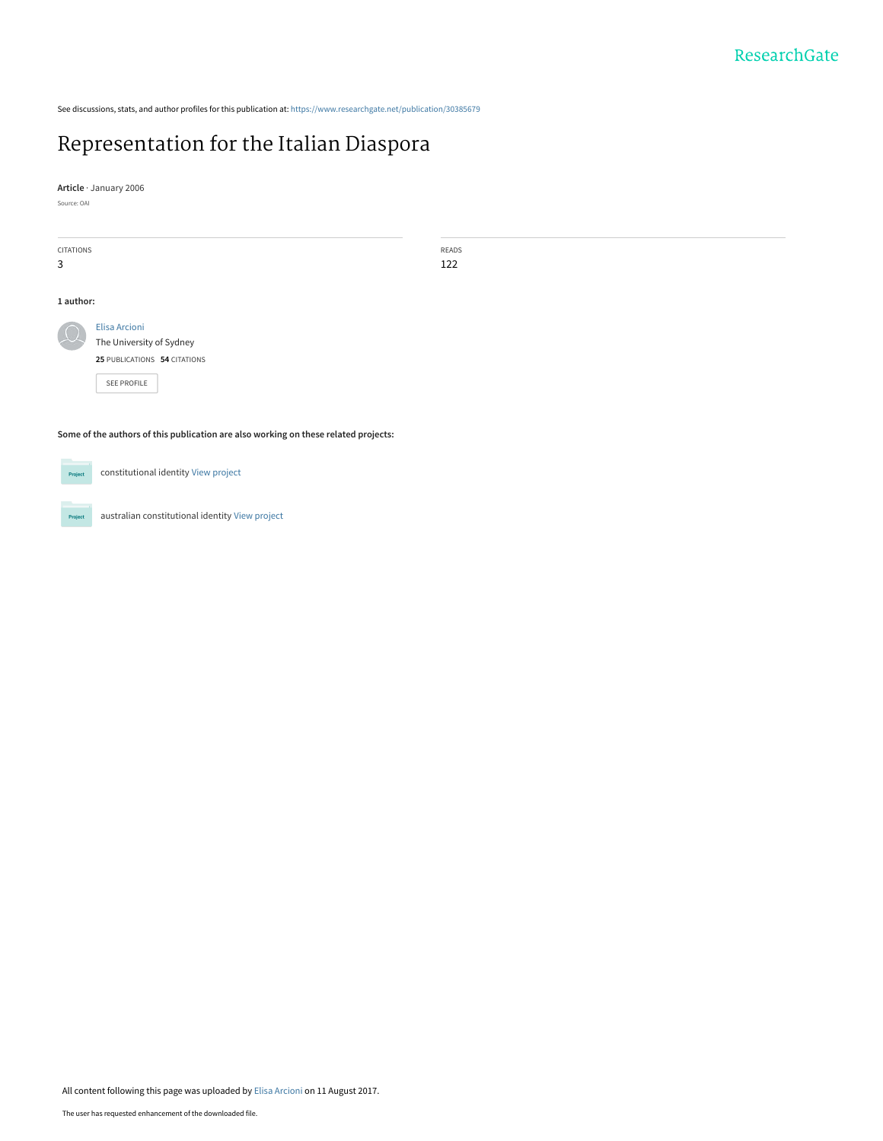See discussions, stats, and author profiles for this publication at: [https://www.researchgate.net/publication/30385679](https://www.researchgate.net/publication/30385679_Representation_for_the_Italian_Diaspora?enrichId=rgreq-b9a634ff392d4773026e1be97e09e01a-XXX&enrichSource=Y292ZXJQYWdlOzMwMzg1Njc5O0FTOjUyNjI3NTI0MTYxNTM2MEAxNTAyNDg1MjAzMzE0&el=1_x_2&_esc=publicationCoverPdf)

READS 122

# [Representation for the Italian Diaspora](https://www.researchgate.net/publication/30385679_Representation_for_the_Italian_Diaspora?enrichId=rgreq-b9a634ff392d4773026e1be97e09e01a-XXX&enrichSource=Y292ZXJQYWdlOzMwMzg1Njc5O0FTOjUyNjI3NTI0MTYxNTM2MEAxNTAyNDg1MjAzMzE0&el=1_x_3&_esc=publicationCoverPdf)

**Article** · January 2006

Source: OAI

| <b>CITATIONS</b> |                              |  |
|------------------|------------------------------|--|
| 3                |                              |  |
|                  |                              |  |
| 1 author:        |                              |  |
|                  | <b>Elisa Arcioni</b>         |  |
|                  | The University of Sydney     |  |
|                  | 25 PUBLICATIONS 54 CITATIONS |  |
|                  | <b>SEE PROFILE</b>           |  |
|                  |                              |  |

**Some of the authors of this publication are also working on these related projects:**

Project

Project

constitutional identity [View project](https://www.researchgate.net/project/constitutional-identity?enrichId=rgreq-b9a634ff392d4773026e1be97e09e01a-XXX&enrichSource=Y292ZXJQYWdlOzMwMzg1Njc5O0FTOjUyNjI3NTI0MTYxNTM2MEAxNTAyNDg1MjAzMzE0&el=1_x_9&_esc=publicationCoverPdf)

australian constitutional identity [View project](https://www.researchgate.net/project/australian-constitutional-identity?enrichId=rgreq-b9a634ff392d4773026e1be97e09e01a-XXX&enrichSource=Y292ZXJQYWdlOzMwMzg1Njc5O0FTOjUyNjI3NTI0MTYxNTM2MEAxNTAyNDg1MjAzMzE0&el=1_x_9&_esc=publicationCoverPdf)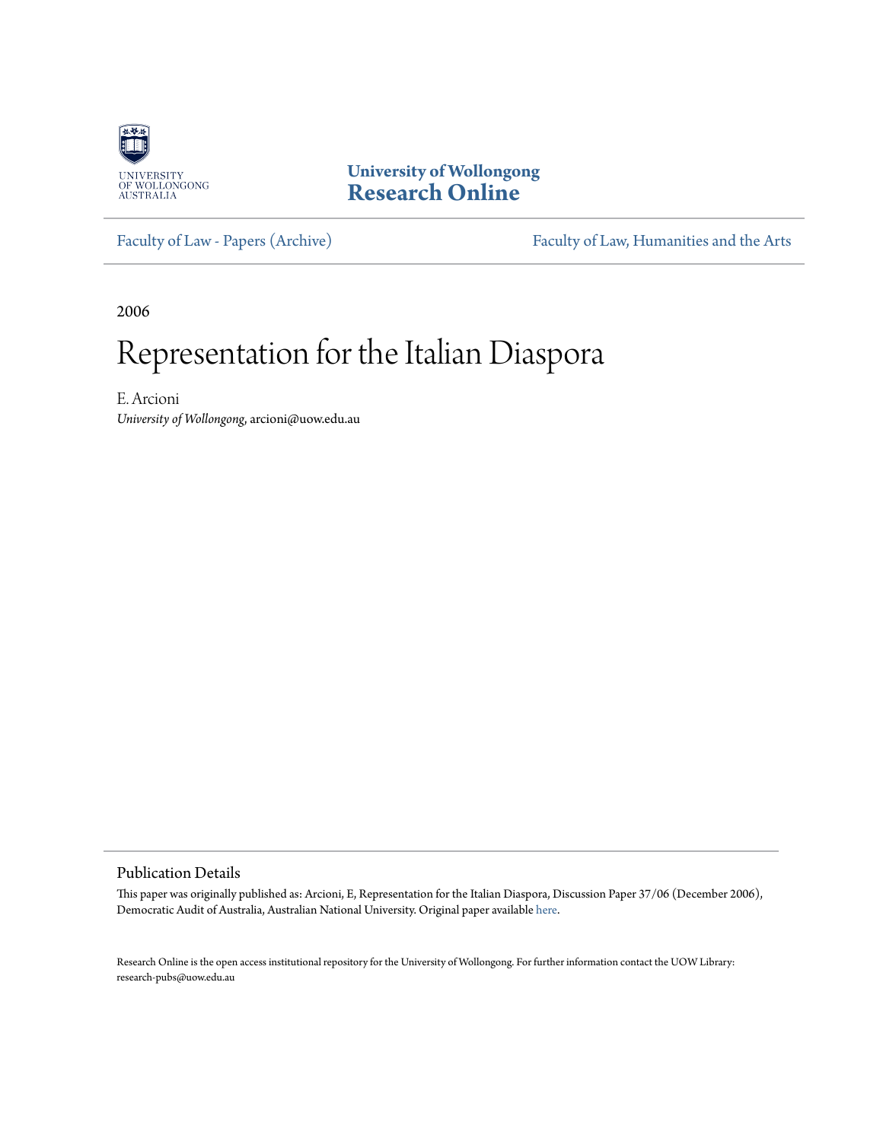

**University of Wollongong [Research Online](http://ro.uow.edu.au)**

[Faculty of Law - Papers \(Archive\)](http://ro.uow.edu.au/lawpapers) [Faculty of Law, Humanities and the Arts](http://ro.uow.edu.au/lha)

2006

# Representation for the Italian Diaspora

E. Arcioni *University of Wollongong*, arcioni@uow.edu.au

Publication Details

This paper was originally published as: Arcioni, E, Representation for the Italian Diaspora, Discussion Paper 37/06 (December 2006), Democratic Audit of Australia, Australian National University. Original paper available [here.]("http:/democratic.audit.anu.edu.au/papers/20061113_arcioni_ital_diasp.pdf")

Research Online is the open access institutional repository for the University of Wollongong. For further information contact the UOW Library: research-pubs@uow.edu.au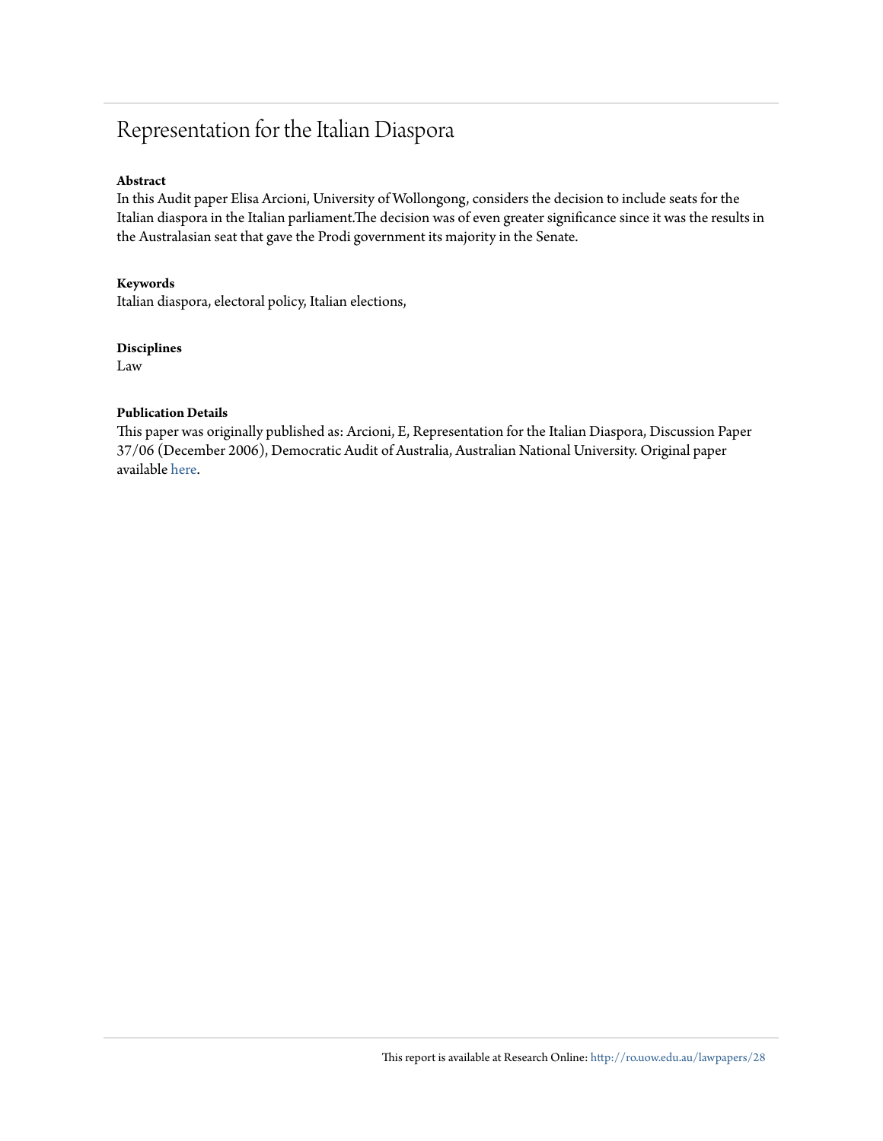# Representation for the Italian Diaspora

## **Abstract**

In this Audit paper Elisa Arcioni, University of Wollongong, considers the decision to include seats for the Italian diaspora in the Italian parliament.The decision was of even greater significance since it was the results in the Australasian seat that gave the Prodi government its majority in the Senate.

## **Keywords**

Italian diaspora, electoral policy, Italian elections,

### **Disciplines**

Law

# **Publication Details**

This paper was originally published as: Arcioni, E, Representation for the Italian Diaspora, Discussion Paper 37/06 (December 2006), Democratic Audit of Australia, Australian National University. Original paper available [here.]("http:/democratic.audit.anu.edu.au/papers/20061113_arcioni_ital_diasp.pdf")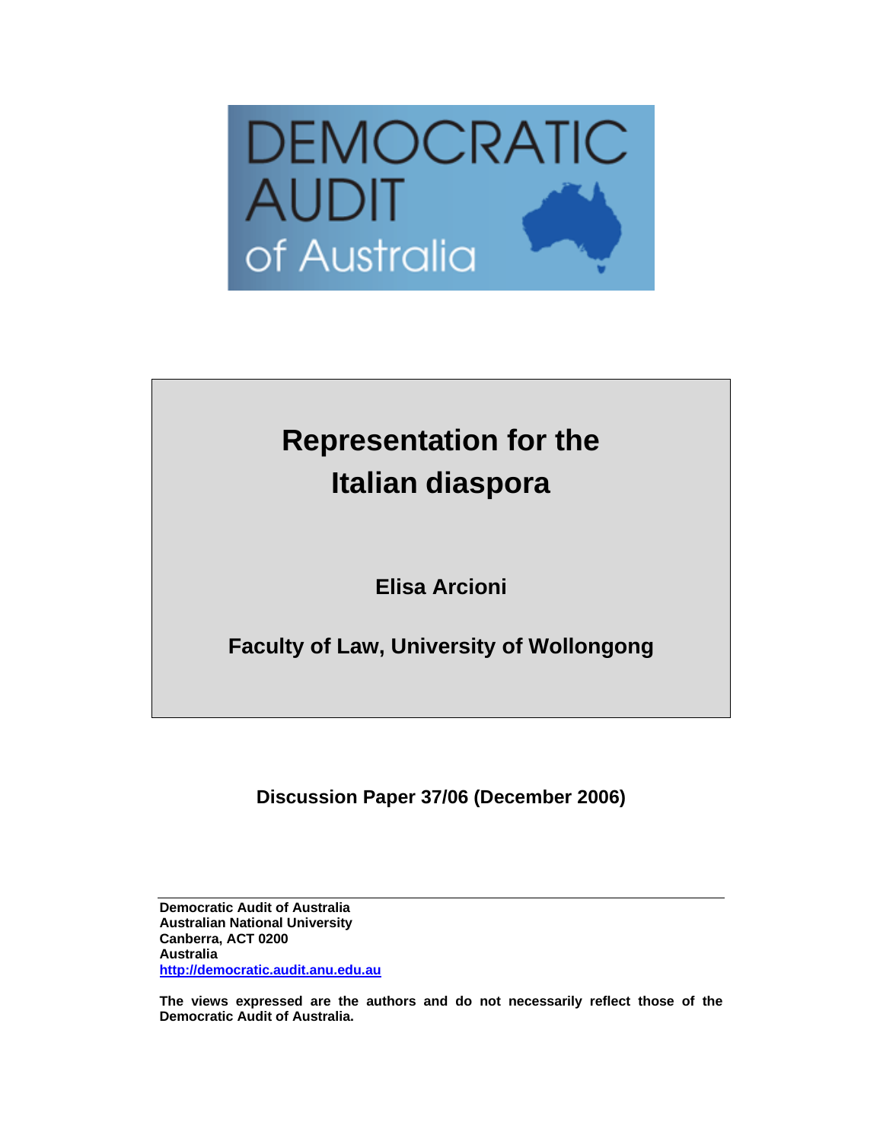

# **Representation for the Italian diaspora**

**Elisa Arcioni** 

**Faculty of Law, University of Wollongong** 

**Discussion Paper 37/06 (December 2006)** 

**Democratic Audit of Australia Australian National University Canberra, ACT 0200 Australia http://democratic.audit.anu.edu.au**

**The views expressed are the authors and do not necessarily reflect those of the Democratic Audit of Australia.**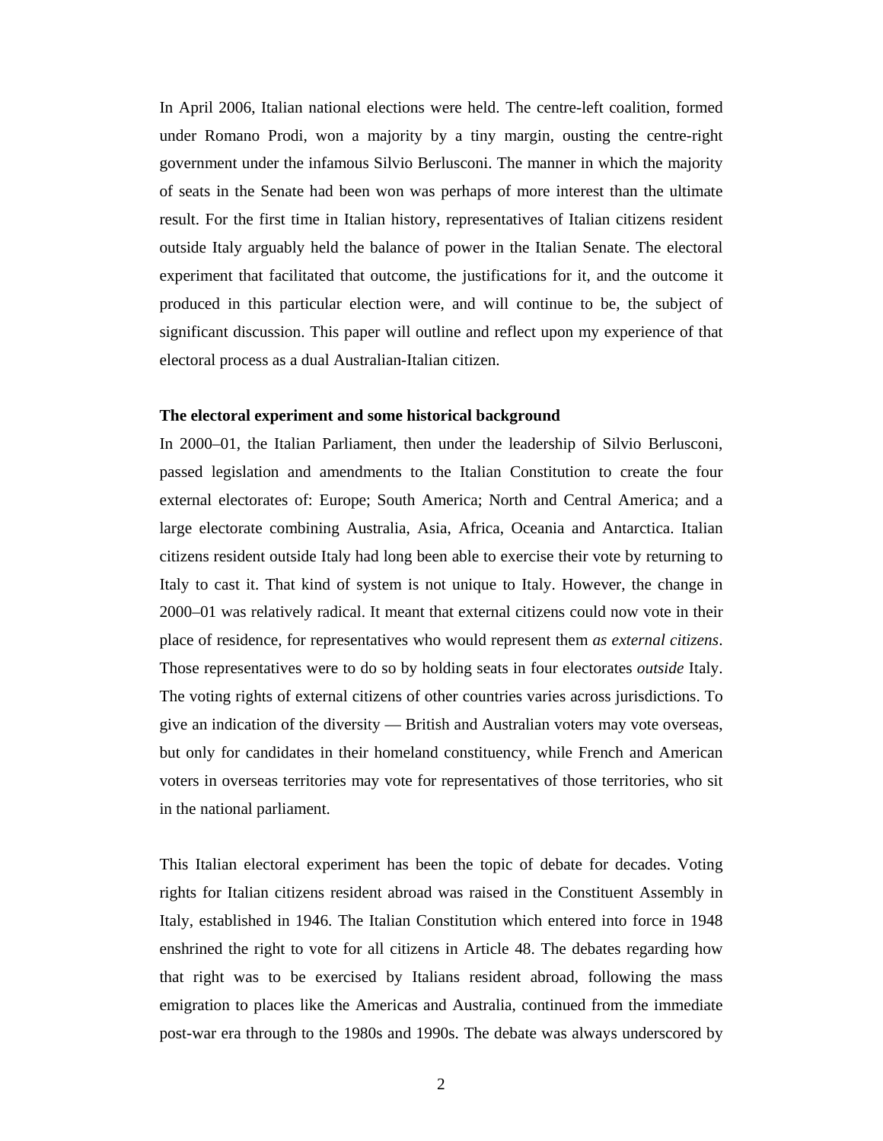In April 2006, Italian national elections were held. The centre-left coalition, formed under Romano Prodi, won a majority by a tiny margin, ousting the centre-right government under the infamous Silvio Berlusconi. The manner in which the majority of seats in the Senate had been won was perhaps of more interest than the ultimate result. For the first time in Italian history, representatives of Italian citizens resident outside Italy arguably held the balance of power in the Italian Senate. The electoral experiment that facilitated that outcome, the justifications for it, and the outcome it produced in this particular election were, and will continue to be, the subject of significant discussion. This paper will outline and reflect upon my experience of that electoral process as a dual Australian-Italian citizen.

#### **The electoral experiment and some historical background**

In 2000–01, the Italian Parliament, then under the leadership of Silvio Berlusconi, passed legislation and amendments to the Italian Constitution to create the four external electorates of: Europe; South America; North and Central America; and a large electorate combining Australia, Asia, Africa, Oceania and Antarctica. Italian citizens resident outside Italy had long been able to exercise their vote by returning to Italy to cast it. That kind of system is not unique to Italy. However, the change in 2000–01 was relatively radical. It meant that external citizens could now vote in their place of residence, for representatives who would represent them *as external citizens*. Those representatives were to do so by holding seats in four electorates *outside* Italy. The voting rights of external citizens of other countries varies across jurisdictions. To give an indication of the diversity — British and Australian voters may vote overseas, but only for candidates in their homeland constituency, while French and American voters in overseas territories may vote for representatives of those territories, who sit in the national parliament.

This Italian electoral experiment has been the topic of debate for decades. Voting rights for Italian citizens resident abroad was raised in the Constituent Assembly in Italy, established in 1946. The Italian Constitution which entered into force in 1948 enshrined the right to vote for all citizens in Article 48. The debates regarding how that right was to be exercised by Italians resident abroad, following the mass emigration to places like the Americas and Australia, continued from the immediate post-war era through to the 1980s and 1990s. The debate was always underscored by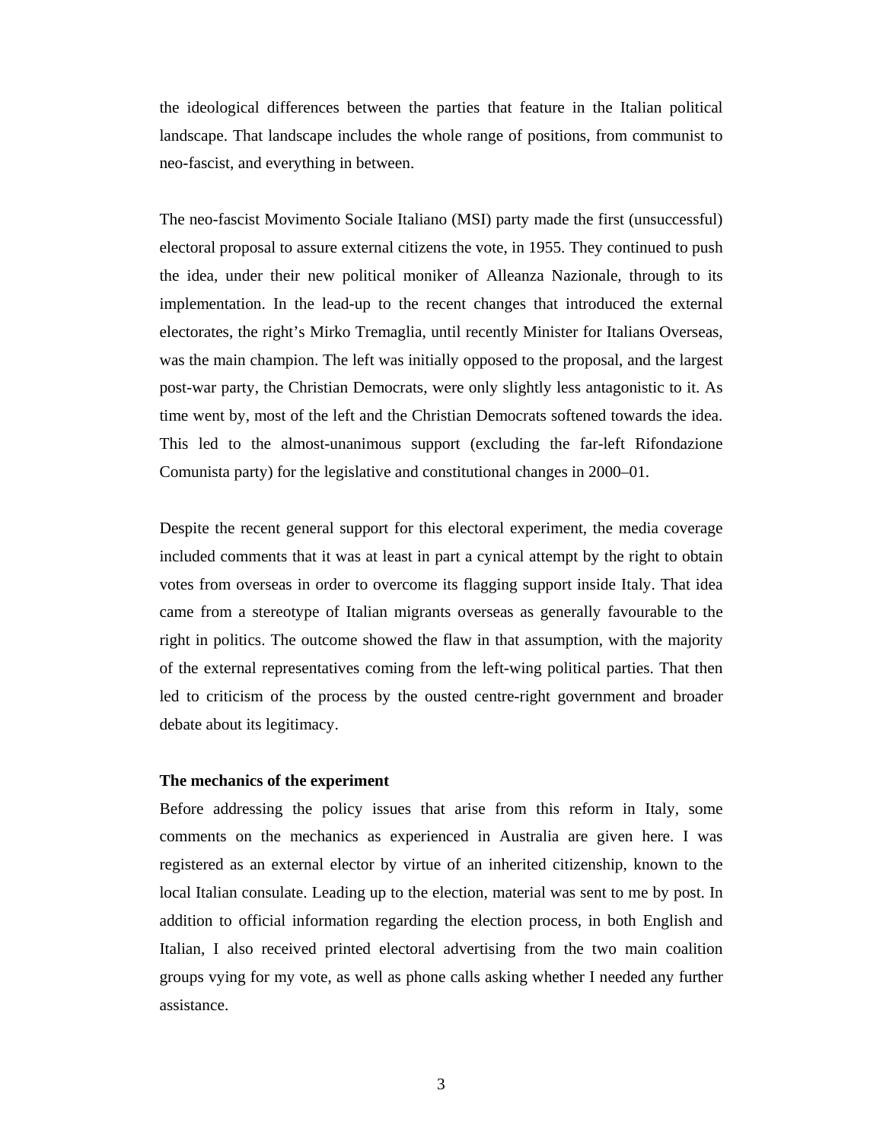the ideological differences between the parties that feature in the Italian political landscape. That landscape includes the whole range of positions, from communist to neo-fascist, and everything in between.

The neo-fascist Movimento Sociale Italiano (MSI) party made the first (unsuccessful) electoral proposal to assure external citizens the vote, in 1955. They continued to push the idea, under their new political moniker of Alleanza Nazionale, through to its implementation. In the lead-up to the recent changes that introduced the external electorates, the right's Mirko Tremaglia, until recently Minister for Italians Overseas, was the main champion. The left was initially opposed to the proposal, and the largest post-war party, the Christian Democrats, were only slightly less antagonistic to it. As time went by, most of the left and the Christian Democrats softened towards the idea. This led to the almost-unanimous support (excluding the far-left Rifondazione Comunista party) for the legislative and constitutional changes in 2000–01.

Despite the recent general support for this electoral experiment, the media coverage included comments that it was at least in part a cynical attempt by the right to obtain votes from overseas in order to overcome its flagging support inside Italy. That idea came from a stereotype of Italian migrants overseas as generally favourable to the right in politics. The outcome showed the flaw in that assumption, with the majority of the external representatives coming from the left-wing political parties. That then led to criticism of the process by the ousted centre-right government and broader debate about its legitimacy.

#### **The mechanics of the experiment**

Before addressing the policy issues that arise from this reform in Italy, some comments on the mechanics as experienced in Australia are given here. I was registered as an external elector by virtue of an inherited citizenship, known to the local Italian consulate. Leading up to the election, material was sent to me by post. In addition to official information regarding the election process, in both English and Italian, I also received printed electoral advertising from the two main coalition groups vying for my vote, as well as phone calls asking whether I needed any further assistance.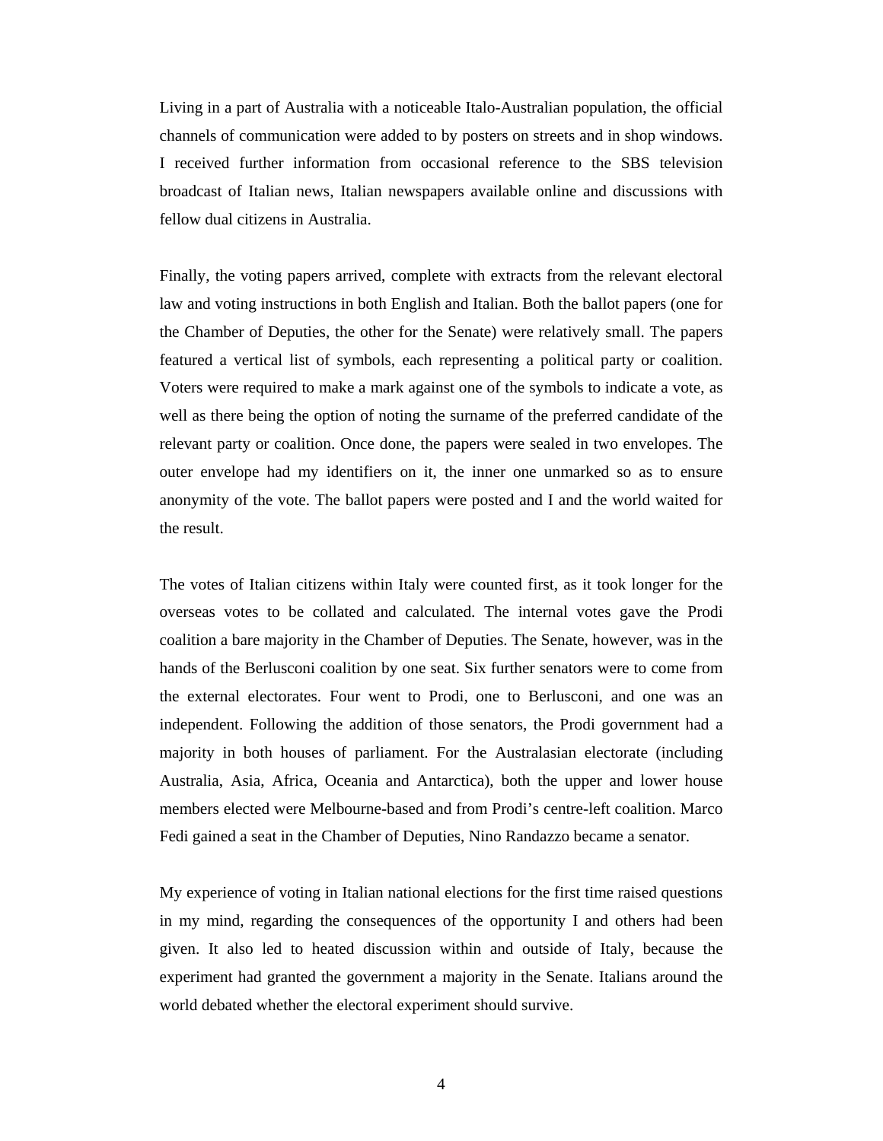Living in a part of Australia with a noticeable Italo-Australian population, the official channels of communication were added to by posters on streets and in shop windows. I received further information from occasional reference to the SBS television broadcast of Italian news, Italian newspapers available online and discussions with fellow dual citizens in Australia.

Finally, the voting papers arrived, complete with extracts from the relevant electoral law and voting instructions in both English and Italian. Both the ballot papers (one for the Chamber of Deputies, the other for the Senate) were relatively small. The papers featured a vertical list of symbols, each representing a political party or coalition. Voters were required to make a mark against one of the symbols to indicate a vote, as well as there being the option of noting the surname of the preferred candidate of the relevant party or coalition. Once done, the papers were sealed in two envelopes. The outer envelope had my identifiers on it, the inner one unmarked so as to ensure anonymity of the vote. The ballot papers were posted and I and the world waited for the result.

The votes of Italian citizens within Italy were counted first, as it took longer for the overseas votes to be collated and calculated. The internal votes gave the Prodi coalition a bare majority in the Chamber of Deputies. The Senate, however, was in the hands of the Berlusconi coalition by one seat. Six further senators were to come from the external electorates. Four went to Prodi, one to Berlusconi, and one was an independent. Following the addition of those senators, the Prodi government had a majority in both houses of parliament. For the Australasian electorate (including Australia, Asia, Africa, Oceania and Antarctica), both the upper and lower house members elected were Melbourne-based and from Prodi's centre-left coalition. Marco Fedi gained a seat in the Chamber of Deputies, Nino Randazzo became a senator.

My experience of voting in Italian national elections for the first time raised questions in my mind, regarding the consequences of the opportunity I and others had been given. It also led to heated discussion within and outside of Italy, because the experiment had granted the government a majority in the Senate. Italians around the world debated whether the electoral experiment should survive.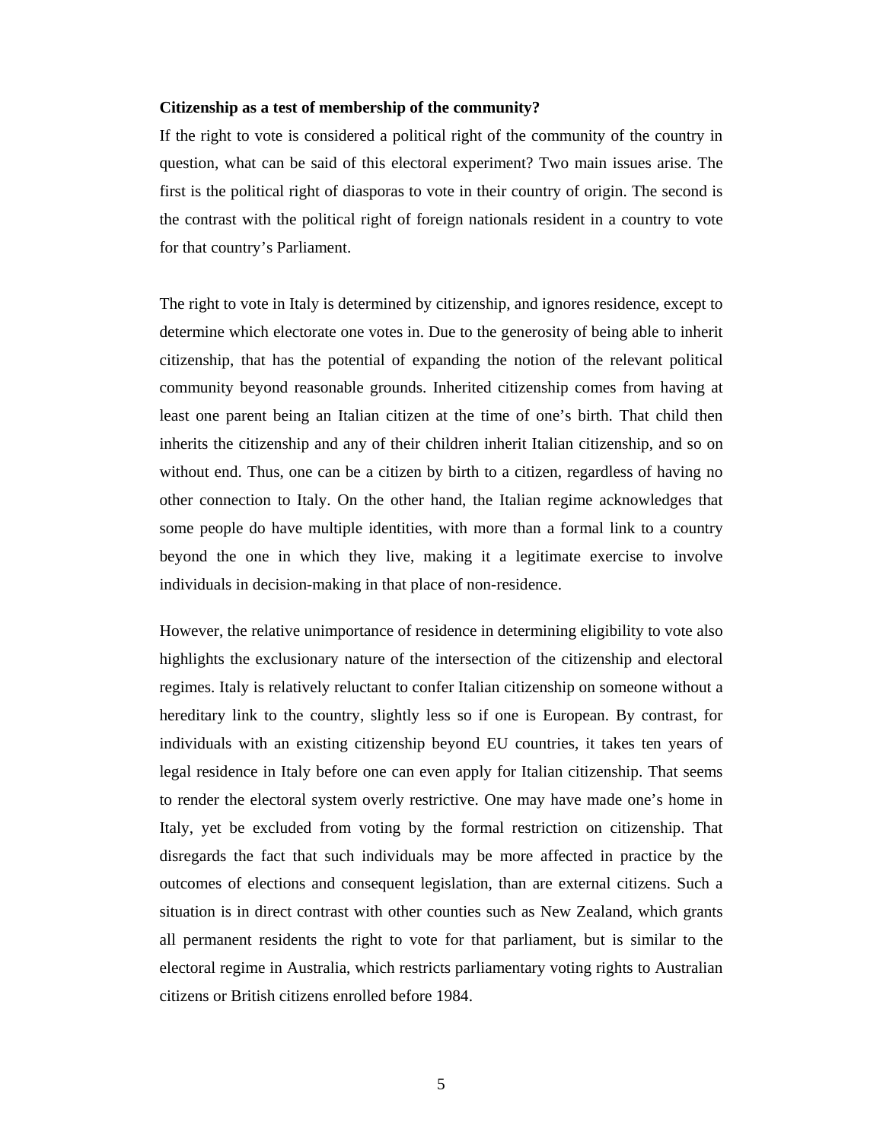#### **Citizenship as a test of membership of the community?**

If the right to vote is considered a political right of the community of the country in question, what can be said of this electoral experiment? Two main issues arise. The first is the political right of diasporas to vote in their country of origin. The second is the contrast with the political right of foreign nationals resident in a country to vote for that country's Parliament.

The right to vote in Italy is determined by citizenship, and ignores residence, except to determine which electorate one votes in. Due to the generosity of being able to inherit citizenship, that has the potential of expanding the notion of the relevant political community beyond reasonable grounds. Inherited citizenship comes from having at least one parent being an Italian citizen at the time of one's birth. That child then inherits the citizenship and any of their children inherit Italian citizenship, and so on without end. Thus, one can be a citizen by birth to a citizen, regardless of having no other connection to Italy. On the other hand, the Italian regime acknowledges that some people do have multiple identities, with more than a formal link to a country beyond the one in which they live, making it a legitimate exercise to involve individuals in decision-making in that place of non-residence.

However, the relative unimportance of residence in determining eligibility to vote also highlights the exclusionary nature of the intersection of the citizenship and electoral regimes. Italy is relatively reluctant to confer Italian citizenship on someone without a hereditary link to the country, slightly less so if one is European. By contrast, for individuals with an existing citizenship beyond EU countries, it takes ten years of legal residence in Italy before one can even apply for Italian citizenship. That seems to render the electoral system overly restrictive. One may have made one's home in Italy, yet be excluded from voting by the formal restriction on citizenship. That disregards the fact that such individuals may be more affected in practice by the outcomes of elections and consequent legislation, than are external citizens. Such a situation is in direct contrast with other counties such as New Zealand, which grants all permanent residents the right to vote for that parliament, but is similar to the electoral regime in Australia, which restricts parliamentary voting rights to Australian citizens or British citizens enrolled before 1984.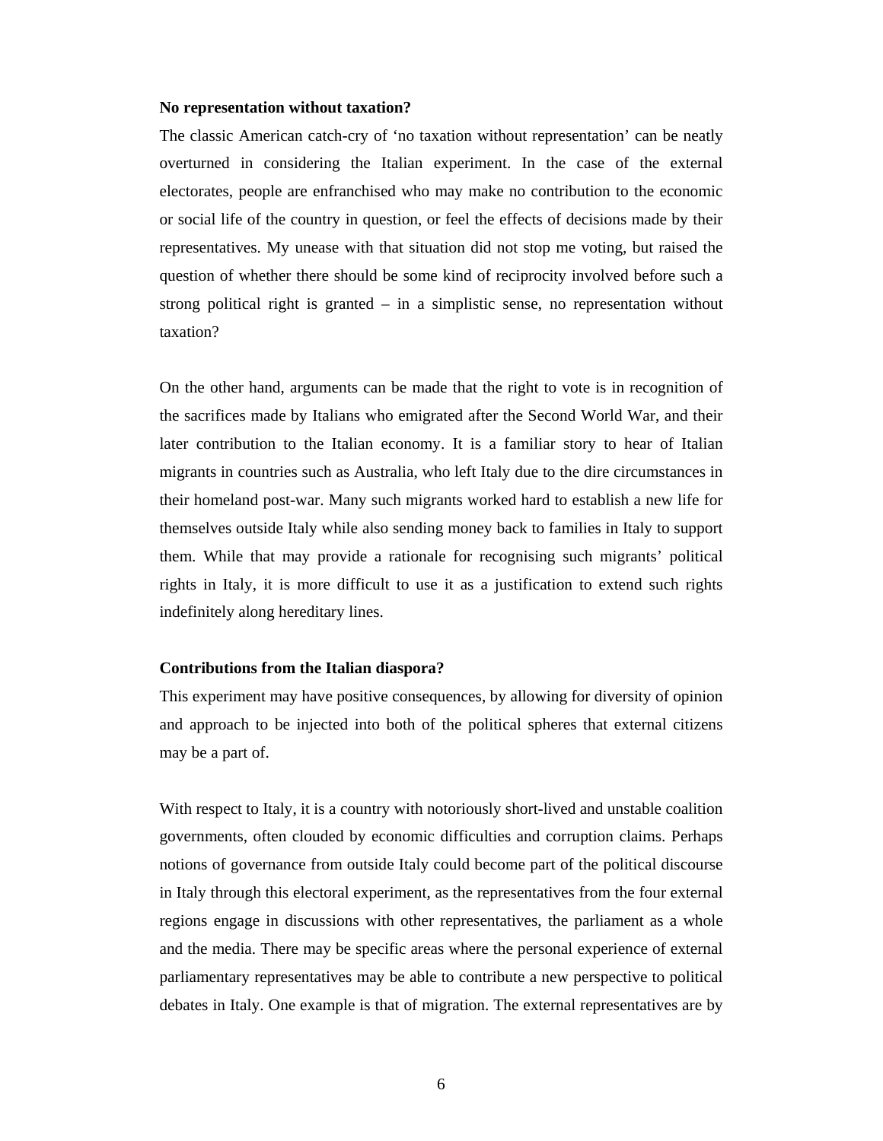#### **No representation without taxation?**

The classic American catch-cry of 'no taxation without representation' can be neatly overturned in considering the Italian experiment. In the case of the external electorates, people are enfranchised who may make no contribution to the economic or social life of the country in question, or feel the effects of decisions made by their representatives. My unease with that situation did not stop me voting, but raised the question of whether there should be some kind of reciprocity involved before such a strong political right is granted – in a simplistic sense, no representation without taxation?

On the other hand, arguments can be made that the right to vote is in recognition of the sacrifices made by Italians who emigrated after the Second World War, and their later contribution to the Italian economy. It is a familiar story to hear of Italian migrants in countries such as Australia, who left Italy due to the dire circumstances in their homeland post-war. Many such migrants worked hard to establish a new life for themselves outside Italy while also sending money back to families in Italy to support them. While that may provide a rationale for recognising such migrants' political rights in Italy, it is more difficult to use it as a justification to extend such rights indefinitely along hereditary lines.

#### **Contributions from the Italian diaspora?**

This experiment may have positive consequences, by allowing for diversity of opinion and approach to be injected into both of the political spheres that external citizens may be a part of.

With respect to Italy, it is a country with notoriously short-lived and unstable coalition governments, often clouded by economic difficulties and corruption claims. Perhaps notions of governance from outside Italy could become part of the political discourse in Italy through this electoral experiment, as the representatives from the four external regions engage in discussions with other representatives, the parliament as a whole and the media. There may be specific areas where the personal experience of external parliamentary representatives may be able to contribute a new perspective to political debates in Italy. One example is that of migration. The external representatives are by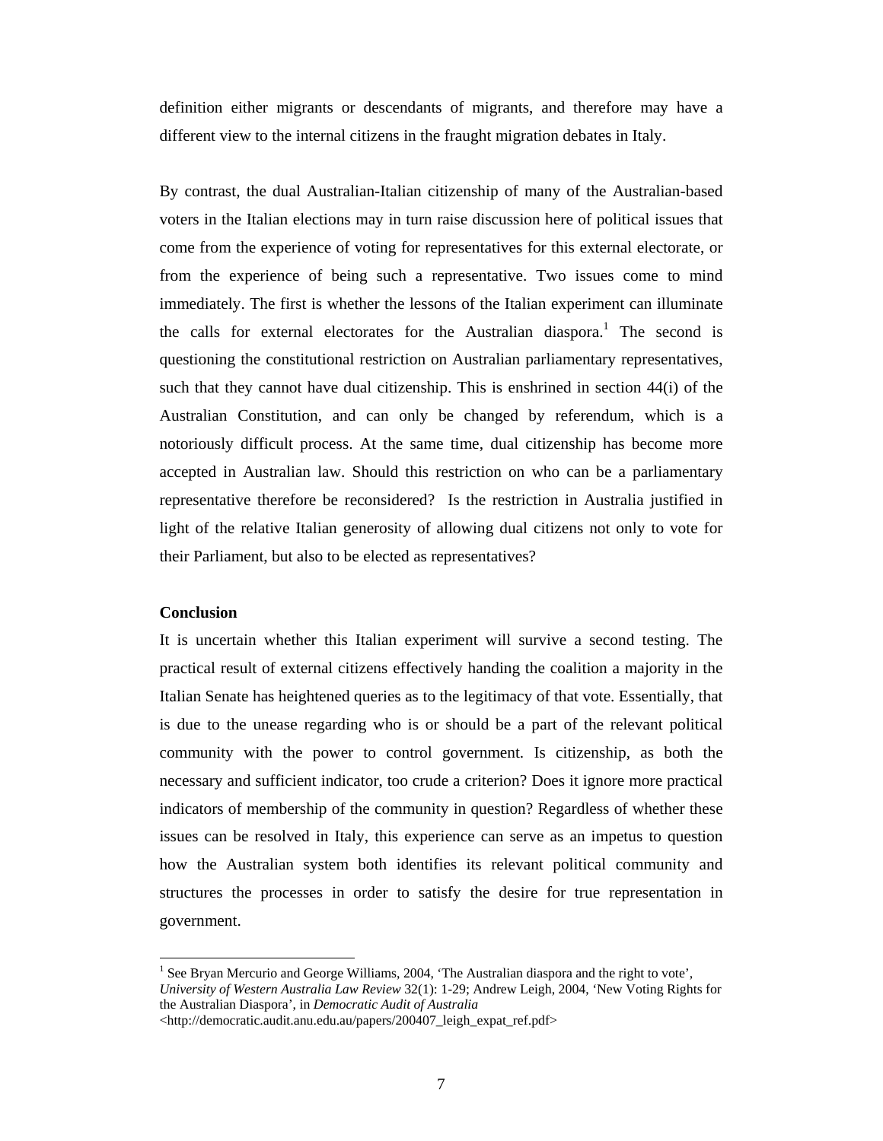definition either migrants or descendants of migrants, and therefore may have a different view to the internal citizens in the fraught migration debates in Italy.

By contrast, the dual Australian-Italian citizenship of many of the Australian-based voters in the Italian elections may in turn raise discussion here of political issues that come from the experience of voting for representatives for this external electorate, or from the experience of being such a representative. Two issues come to mind immediately. The first is whether the lessons of the Italian experiment can illuminate the calls for external electorates for the Australian diaspora.<sup>1</sup> The second is questioning the constitutional restriction on Australian parliamentary representatives, such that they cannot have dual citizenship. This is enshrined in section 44(i) of the Australian Constitution, and can only be changed by referendum, which is a notoriously difficult process. At the same time, dual citizenship has become more accepted in Australian law. Should this restriction on who can be a parliamentary representative therefore be reconsidered? Is the restriction in Australia justified in light of the relative Italian generosity of allowing dual citizens not only to vote for their Parliament, but also to be elected as representatives?

### **Conclusion**

 $\overline{a}$ 

It is uncertain whether this Italian experiment will survive a second testing. The practical result of external citizens effectively handing the coalition a majority in the Italian Senate has heightened queries as to the legitimacy of that vote. Essentially, that is due to the unease regarding who is or should be a part of the relevant political community with the power to control government. Is citizenship, as both the necessary and sufficient indicator, too crude a criterion? Does it ignore more practical indicators of membership of the community in question? Regardless of whether these issues can be resolved in Italy, this experience can serve as an impetus to question how the Australian system both identifies its relevant political community and structures the processes in order to satisfy the desire for true representation in government.

<sup>&</sup>lt;sup>1</sup> See Bryan Mercurio and George Williams, 2004, 'The Australian diaspora and the right to vote', *University of Western Australia Law Review* 32(1): 1-29; Andrew Leigh, 2004, 'New Voting Rights for the Australian Diaspora', in *Democratic Audit of Australia*

<sup>&</sup>lt;http://democratic.audit.anu.edu.au/papers/200407\_leigh\_expat\_ref.pdf>